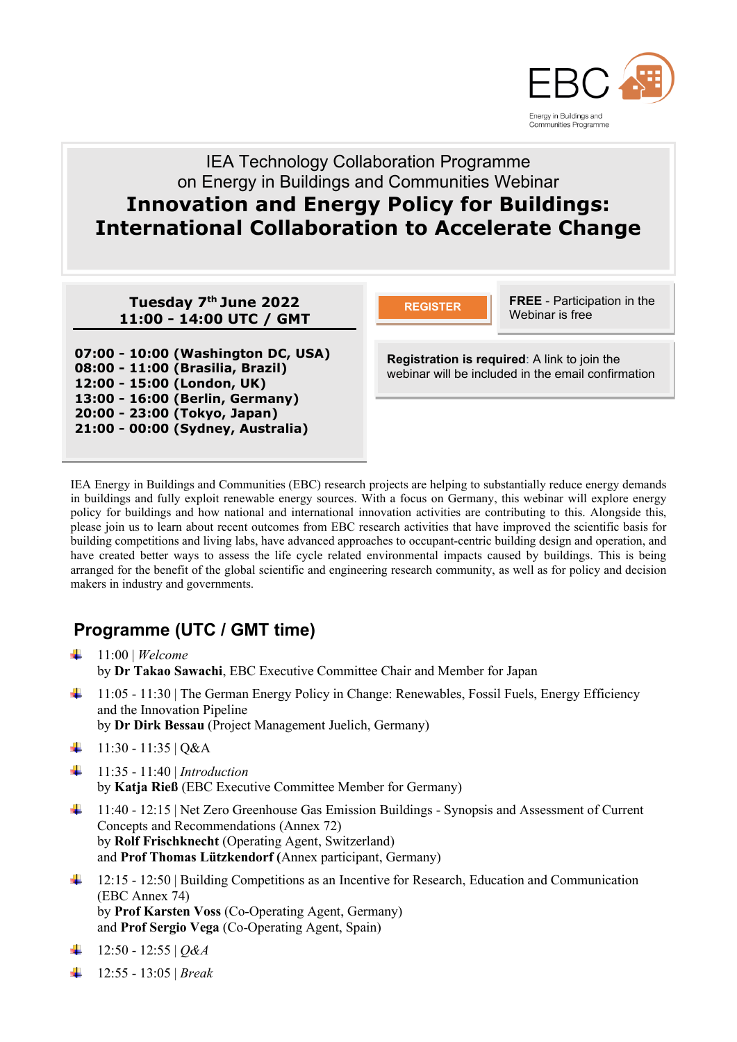

# IEA Technology Collaboration Programme on Energy in Buildings and Communities Webinar **Innovation and Energy Policy for Buildings: International Collaboration to Accelerate Change**

**Tuesday 7 th June 2022 11:00 - 14:00 UTC / GMT**

**07:00 - 10:00 (Washington DC, USA) 08:00 - 11:00 (Brasilia, Brazil) 12:00 - 15:00 (London, UK) 13:00 - 16:00 (Berlin, Germany) 20:00 - 23:00 (Tokyo, Japan) 21:00 - 00:00 (Sydney, Australia)**

**FREE** - Participation in the **REGISTER REGISTER REGISTER REGISTER** 

**Registration is required**: A link to join the webinar will be included in the email confirmation

IEA Energy in Buildings and Communities (EBC) research projects are helping to substantially reduce energy demands in buildings and fully exploit renewable energy sources. With a focus on Germany, this webinar will explore energy policy for buildings and how national and international innovation activities are contributing to this. Alongside this, please join us to learn about recent outcomes from EBC research activities that have improved the scientific basis for building competitions and living labs, have advanced approaches to occupant-centric building design and operation, and have created better ways to assess the life cycle related environmental impacts caused by buildings. This is being arranged for the benefit of the global scientific and engineering research community, as well as for policy and decision makers in industry and governments.

# **Programme (UTC / GMT time)**

- $\frac{1}{11:00}$  | *Welcome* by **Dr Takao Sawachi**, EBC Executive Committee Chair and Member for Japan
- 4 11:05 11:30 | The German Energy Policy in Change: Renewables, Fossil Fuels, Energy Efficiency and the Innovation Pipeline by **Dr Dirk Bessau** (Project Management Juelich, Germany)
- $\downarrow$  11:30 11:35 | Q&A
- 11:35 11:40 | *Introduction* by **Katja Rieß** (EBC Executive Committee Member for Germany)
- <sup>1</sup> 11:40 12:15 | Net Zero Greenhouse Gas Emission Buildings Synopsis and Assessment of Current Concepts and Recommendations (Annex 72) by **Rolf Frischknecht** (Operating Agent, Switzerland) and **Prof Thomas Lützkendorf (**Annex participant, Germany)
- <sup>1</sup> 12:15 12:50 | Building Competitions as an Incentive for Research, Education and Communication (EBC Annex 74) by **Prof Karsten Voss** (Co-Operating Agent, Germany) and **Prof Sergio Vega** (Co-Operating Agent, Spain)
- $\downarrow$  12:50 12:55 | *Q&A*
- 12:55 13:05 | *Break*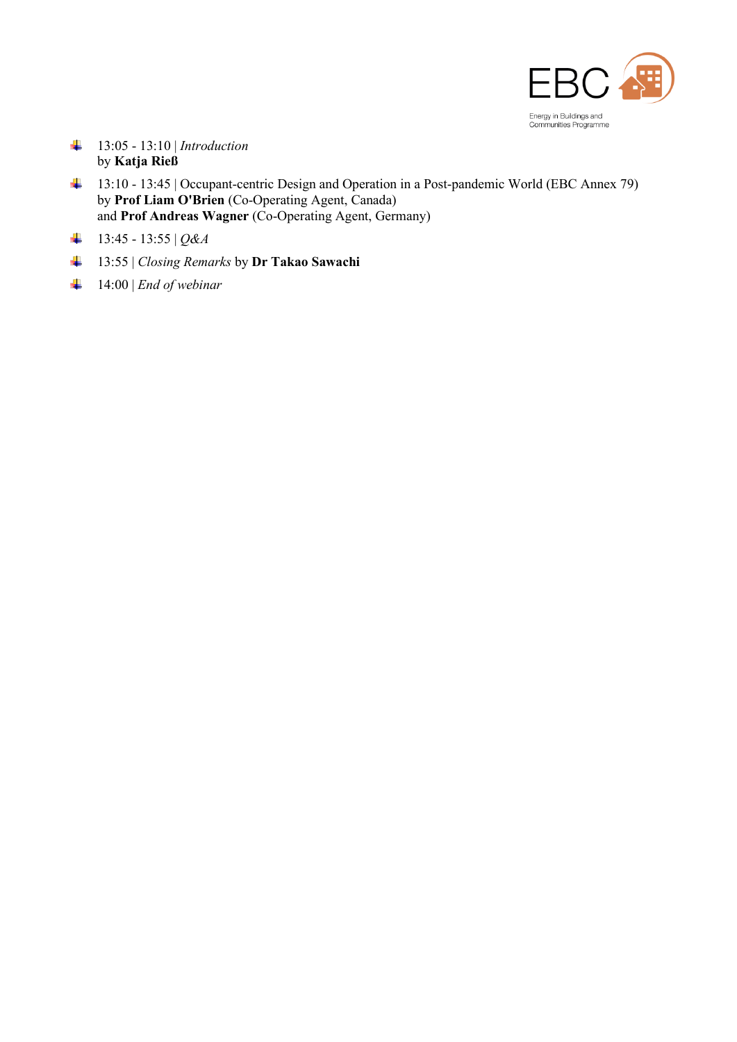

- 13:05 13:10 | *Introduction* by **Katja Rieß**
- 13:10 13:45 | Occupant-centric Design and Operation in a Post-pandemic World (EBC Annex 79) by **Prof Liam O'Brien** (Co-Operating Agent, Canada) and **Prof Andreas Wagner** (Co-Operating Agent, Germany)
- $+$  13:45 13:55 | *Q&A*
- 13:55 | *Closing Remarks* by **Dr Takao Sawachi**
- 14:00 | *End of webinar*